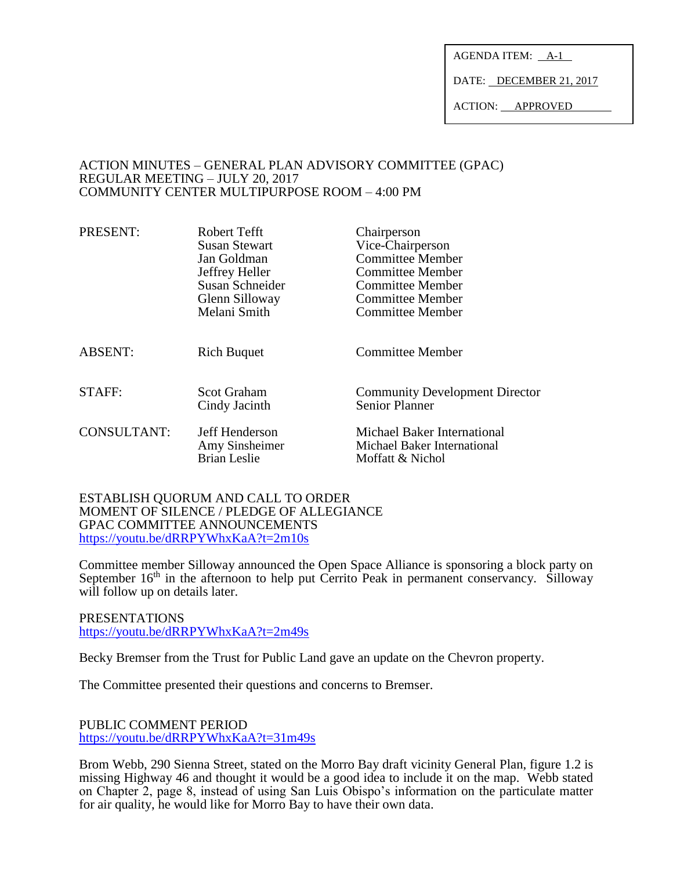AGENDA ITEM: A-1

DATE: DECEMBER 21, 2017

ACTION: APPROVED

### ACTION MINUTES – GENERAL PLAN ADVISORY COMMITTEE (GPAC) REGULAR MEETING – JULY 20, 2017 COMMUNITY CENTER MULTIPURPOSE ROOM – 4:00 PM

| PRESENT:       | Robert Tefft<br><b>Susan Stewart</b><br>Jan Goldman<br>Jeffrey Heller<br>Susan Schneider<br>Glenn Silloway<br>Melani Smith | Chairperson<br>Vice-Chairperson<br><b>Committee Member</b><br><b>Committee Member</b><br><b>Committee Member</b><br><b>Committee Member</b><br><b>Committee Member</b> |
|----------------|----------------------------------------------------------------------------------------------------------------------------|------------------------------------------------------------------------------------------------------------------------------------------------------------------------|
| <b>ABSENT:</b> | <b>Rich Buquet</b>                                                                                                         | Committee Member                                                                                                                                                       |
| STAFF:         | <b>Scot Graham</b><br>Cindy Jacinth                                                                                        | <b>Community Development Director</b><br>Senior Planner                                                                                                                |
| CONSULTANT:    | Jeff Henderson<br>Amy Sinsheimer<br><b>Brian Leslie</b>                                                                    | Michael Baker International<br>Michael Baker International<br>Moffatt & Nichol                                                                                         |

ESTABLISH QUORUM AND CALL TO ORDER MOMENT OF SILENCE / PLEDGE OF ALLEGIANCE GPAC COMMITTEE ANNOUNCEMENTS <https://youtu.be/dRRPYWhxKaA?t=2m10s>

Committee member Silloway announced the Open Space Alliance is sponsoring a block party on September 16<sup>th</sup> in the afternoon to help put Cerrito Peak in permanent conservancy. Silloway will follow up on details later.

PRESENTATIONS <https://youtu.be/dRRPYWhxKaA?t=2m49s>

Becky Bremser from the Trust for Public Land gave an update on the Chevron property.

The Committee presented their questions and concerns to Bremser.

PUBLIC COMMENT PERIOD <https://youtu.be/dRRPYWhxKaA?t=31m49s>

Brom Webb, 290 Sienna Street, stated on the Morro Bay draft vicinity General Plan, figure 1.2 is missing Highway 46 and thought it would be a good idea to include it on the map. Webb stated on Chapter 2, page 8, instead of using San Luis Obispo's information on the particulate matter for air quality, he would like for Morro Bay to have their own data.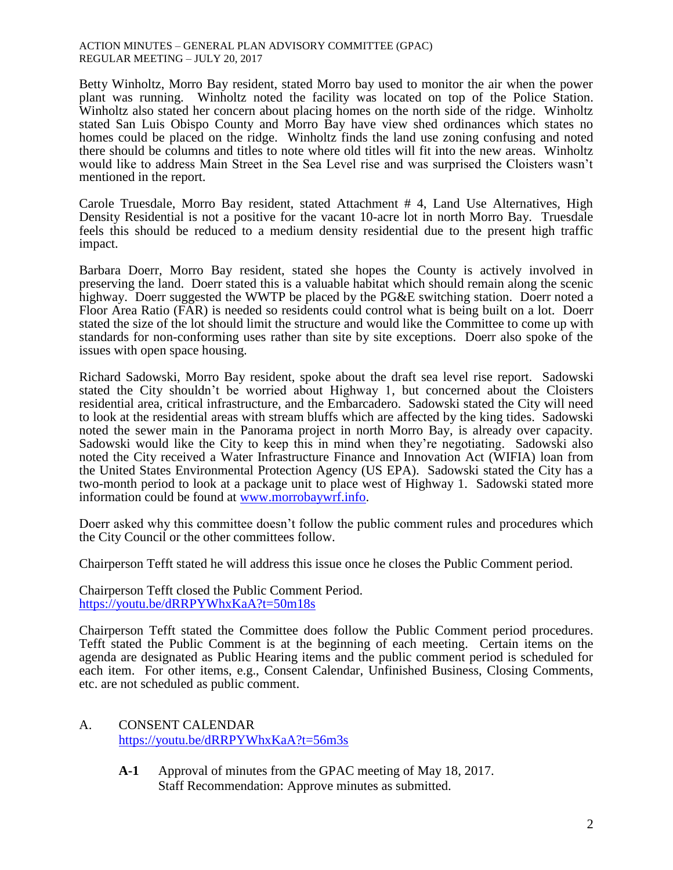#### ACTION MINUTES – GENERAL PLAN ADVISORY COMMITTEE (GPAC) REGULAR MEETING – JULY 20, 2017

Betty Winholtz, Morro Bay resident, stated Morro bay used to monitor the air when the power plant was running. Winholtz noted the facility was located on top of the Police Station. Winholtz also stated her concern about placing homes on the north side of the ridge. Winholtz stated San Luis Obispo County and Morro Bay have view shed ordinances which states no homes could be placed on the ridge. Winholtz finds the land use zoning confusing and noted there should be columns and titles to note where old titles will fit into the new areas. Winholtz would like to address Main Street in the Sea Level rise and was surprised the Cloisters wasn't mentioned in the report.

Carole Truesdale, Morro Bay resident, stated Attachment # 4, Land Use Alternatives, High Density Residential is not a positive for the vacant 10-acre lot in north Morro Bay. Truesdale feels this should be reduced to a medium density residential due to the present high traffic impact.

Barbara Doerr, Morro Bay resident, stated she hopes the County is actively involved in preserving the land. Doerr stated this is a valuable habitat which should remain along the scenic highway. Doerr suggested the WWTP be placed by the PG&E switching station. Doerr noted a Floor Area Ratio (FAR) is needed so residents could control what is being built on a lot. Doerr stated the size of the lot should limit the structure and would like the Committee to come up with standards for non-conforming uses rather than site by site exceptions. Doerr also spoke of the issues with open space housing.

Richard Sadowski, Morro Bay resident, spoke about the draft sea level rise report. Sadowski stated the City shouldn't be worried about Highway 1, but concerned about the Cloisters residential area, critical infrastructure, and the Embarcadero. Sadowski stated the City will need to look at the residential areas with stream bluffs which are affected by the king tides. Sadowski noted the sewer main in the Panorama project in north Morro Bay, is already over capacity. Sadowski would like the City to keep this in mind when they're negotiating. Sadowski also noted the City received a Water Infrastructure Finance and Innovation Act (WIFIA) loan from the United States Environmental Protection Agency (US EPA). Sadowski stated the City has a two-month period to look at a package unit to place west of Highway 1. Sadowski stated more information could be found at [www.morrobaywrf.info.](http://www.morrobaywrf.info/)

Doerr asked why this committee doesn't follow the public comment rules and procedures which the City Council or the other committees follow.

Chairperson Tefft stated he will address this issue once he closes the Public Comment period.

Chairperson Tefft closed the Public Comment Period. <https://youtu.be/dRRPYWhxKaA?t=50m18s>

Chairperson Tefft stated the Committee does follow the Public Comment period procedures. Tefft stated the Public Comment is at the beginning of each meeting. Certain items on the agenda are designated as Public Hearing items and the public comment period is scheduled for each item. For other items, e.g., Consent Calendar, Unfinished Business, Closing Comments, etc. are not scheduled as public comment.

## A. CONSENT CALENDAR <https://youtu.be/dRRPYWhxKaA?t=56m3s>

**A-1** Approval of minutes from the GPAC meeting of May 18, 2017. Staff Recommendation: Approve minutes as submitted.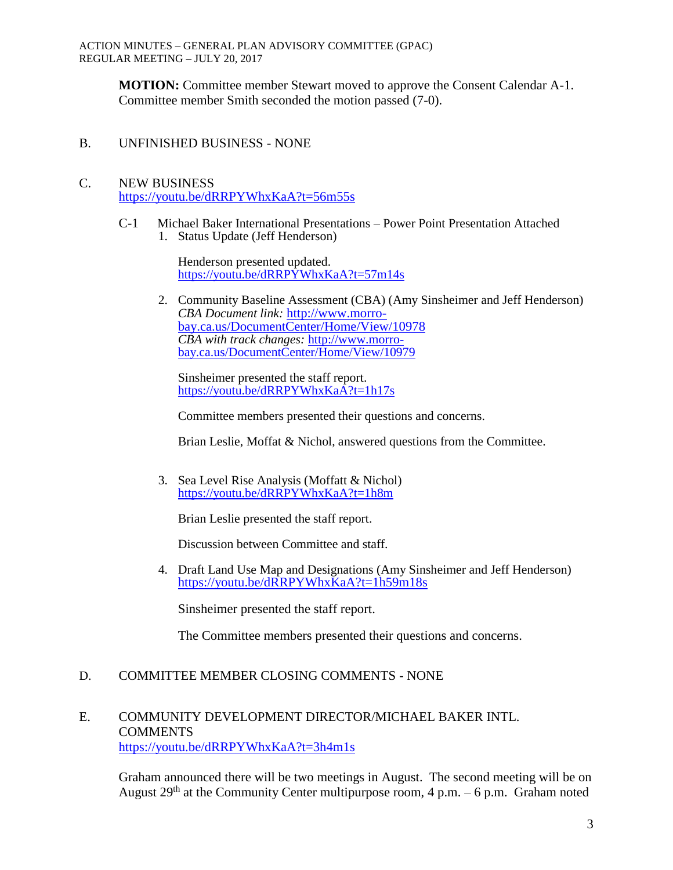**MOTION:** Committee member Stewart moved to approve the Consent Calendar A-1. Committee member Smith seconded the motion passed (7-0).

B. UNFINISHED BUSINESS - NONE

## C. NEW BUSINESS <https://youtu.be/dRRPYWhxKaA?t=56m55s>

C-1Michael Baker International Presentations – Power Point Presentation Attached 1. Status Update (Jeff Henderson)

> Henderson presented updated. <https://youtu.be/dRRPYWhxKaA?t=57m14s>

2. Community Baseline Assessment (CBA) (Amy Sinsheimer and Jeff Henderson) *CBA Document link:* [http://www.morro](http://www.morro-bay.ca.us/DocumentCenter/Home/View/10978)[bay.ca.us/DocumentCenter/Home/View/10978](http://www.morro-bay.ca.us/DocumentCenter/Home/View/10978) *CBA with track changes:* [http://www.morro](http://www.morro-bay.ca.us/DocumentCenter/Home/View/10979)[bay.ca.us/DocumentCenter/Home/View/10979](http://www.morro-bay.ca.us/DocumentCenter/Home/View/10979)

Sinsheimer presented the staff report. <https://youtu.be/dRRPYWhxKaA?t=1h17s>

Committee members presented their questions and concerns.

Brian Leslie, Moffat & Nichol, answered questions from the Committee.

3. Sea Level Rise Analysis (Moffatt & Nichol) <https://youtu.be/dRRPYWhxKaA?t=1h8m>

Brian Leslie presented the staff report.

Discussion between Committee and staff.

4. Draft Land Use Map and Designations (Amy Sinsheimer and Jeff Henderson) <https://youtu.be/dRRPYWhxKaA?t=1h59m18s>

Sinsheimer presented the staff report.

The Committee members presented their questions and concerns.

## D. COMMITTEE MEMBER CLOSING COMMENTS - NONE

## E. COMMUNITY DEVELOPMENT DIRECTOR/MICHAEL BAKER INTL. **COMMENTS** <https://youtu.be/dRRPYWhxKaA?t=3h4m1s>

Graham announced there will be two meetings in August. The second meeting will be on August  $29<sup>th</sup>$  at the Community Center multipurpose room, 4 p.m. – 6 p.m. Graham noted